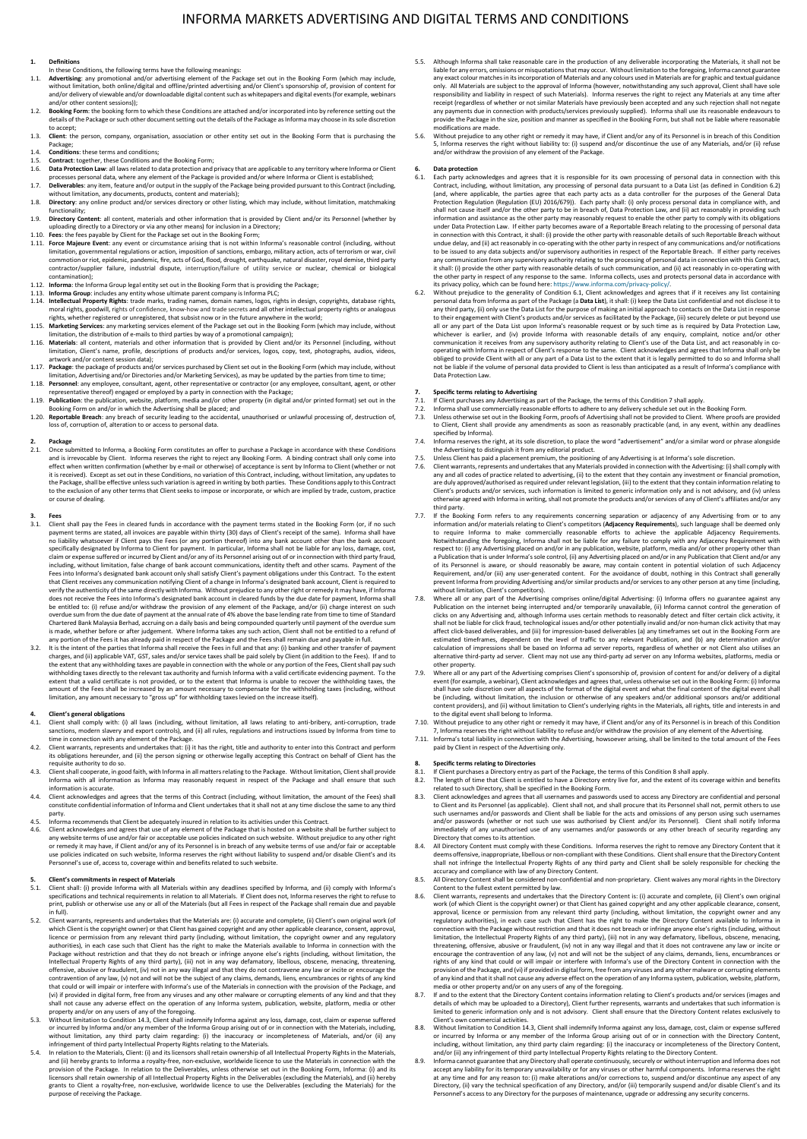## INFORMA MARKETS ADVERTISING AND DIGITAL TERMS AND CONDITIONS

### **1. Definitions**

- In these Conditions, the following terms have the following meanings
- .1.1. Advertising: any promotional and/or advertising element of the Package set out in the Booking Form (which may include, without imitation, both outline/digital and offline/printed advertising and/or Client's sponsorsh and/or other content sessions));
- 1.2. **Booking Form:** the booking form to which these Conditions are attached and/or incorporated into by reference setting out the details of the Package or such other document setting out the details of the Package as Informa may choose in its sole discretion to accept;
- 1.3. **Client**: the person, company, organisation, association or other entity set out in the Booking Form that is purchasing the Package;
- 
- 1.4. **Conditions:** these terms and conditions;
- 1.5. **Contract:** together, these Conditions and the Booking Form;<br>1.6. **Data Protection Law**: all laws related to data protection and privacy that are applicable to any territory where Informa or Client<br>processes personal
- 1.6. **Data Protection Law**: all laws related to data protection and privacy that are applicable to any territory where Informa or Client<br>processes personal data, where any element of the Package is provided and/or where In
- 1.8. **Directory**: any online product and/or services directory or other listing, which may include, without limitation, matchmaking function
- 1.9. **Directory Content**: all content, materials and other information that is provided by Client and/or its Personnel (whether by
- 
- uploading directly to a Directory or via any other means) for inclusion in a Directory;<br>1.10. Fees: the fees payable by Client for the Package set out in the Booking Form;<br>1.11. Force Majeure Event: any event or circumstan commotion or riot, epidemic, pandemic, fire, acts of God, flood, drought, earthquake, natural disaster, royal demise, third party<br>contractor/supplier failure, industrial dispute, interuption/failure of utility service or n
- 
- 
- 
- rights, whether registered or unregistered, that subsist now or in the future anywhere in the world;<br>1.15. Marketing Services: any marketing services element of the Package set out in the Booking Form (which may include, w artwork and/or content session data);
- 1.17. **Package**: the package of products and/or services purchased by Client set out in the Booking Form (which may include, without
- limitation, Advertising and/or Directories and/or Marketing Services), as may be updated by the parties from time to time;<br>Personnel: any employee, consultant, agent, other representative or contractor (or any employee, co
- 1.19. **Publication**: the publication, website, platform, media and/or other property (in digital and/or printed format) set out in the Booking Form on and/or in which the Advertising shall be placed; and<br>1.20. Reportable B
- 

2.<br>
2.1. Dackage<br>
2.1. Once submitted to Informa, a Booking Form constitutes an offer to purchase a Package in accordance with these Conditions<br>
2.1. Once submitted to Informa in a distribution of the results of the result to the exclusion of any other terms that Client seeks to impose or incorporate, or which are implied by trade, custom, practice to the course of dealing.

- **3. Fees**<br>3.1. Client shall pay the Fees in cleared funds in accordance with the payment terms stated in the Booking Form (or, if no such<br>payment terms are stated, all invoices are payable within thirty (30) days of Client no liability whatsoever if Client pays the Fees (or any portion threeof) into any bank account other than the bank account<br>specifically designated by (lifent pays the Fees (or any portion threeof) into any bank account oth
- amount of the Fees shall be increased by an amount necessary to compensate for the withholding taxes (including, without<br>limitation, any amount necessary to "gross up" for withholding taxes levied on the increase itself).

- **4. Client's general obligations** 4.1. Client shall comply with: (i) all laws (including, without limitation, all laws relating to anti-bribery, anti-corruption, trade
- sanctions, modern slavery and export controls), and (ii) all rules, regulations and instructions issued by Informa from time to<br>time in connection with any element of the Package.<br>4.2. Client warrants, represents and under
- 4.3. Client shall cooperate, in good faith, with Informa in all matters relating to the Package. Without limitation, Client shall provide<br>Informa with all information as Informa may reasonably request in respect of the Pac
- information is accurate.<br>4.4. Client acknowledges and agrees that the terms of this Contract (including, without limitation, the amount of the Fees) shall<br>constitute confidential information of Informa and Client undertake
- party ergences.<br>4.5. Informa recommends that Client be adequately insured in relation to its activities under this Contract.<br>4.6. Client acknowledges and agrees that use of any element of the Package that is hosted on a website
- 4.6. Client acknowledges and agrees that use of any element of the Package that is hosted on a website shall be further subject to any website. They are the payable are policies in a proportion of the payable of the payabl

### **5. Client's commitments in respect of Materials**

- S.1. Client shall: (i) provide Informa with all Materials within any deadlines specified by Informa, and (ii) comply with Informa's<br>specifications and technical requirements in relation to all Materials. If Client does not in full).
- 5.2. Client warrants, represents and undertakes that the Materials are: (i) accurate and complete, (ii) Client's own original work (of which Client is the copyright owner) or that Client has gained copyright and any other applicable clearance, consent, approval,<br>licence or permission from any relevant third party (including, without limitation, the copyri Intellectual Property Rights of any third party), (iii) not in any way defamatory, libellous, obscene, menacing, threatening, threatening, contravention of any law, (v) not in any way illegal and that they do not contraven
- property and/or on any users of any of the foregoing.<br>
S.3. Without limitation to Condition 14.3, Client shall indemnify informa against any loss, damage, cost, claim or expense suffered<br>
or incurred by Informa and/or any
- provision of the Package. In relation to the Deliverables, unless otherwise set out in the Booking Form, Informa: (i) and its<br>licensors shall retain ownership of all Intellectual Property Rights in the Deliverables (exclud purpose of receiving the Package.
- 5.5. Although Informa shall take reasonable care in the production of any deliverable incorporating the Materials, it shall not be liable for any errors, omissions or misquotations that may occur. Without limitation to the foregoing, Informa cannot guarantee any exact colour matches in its incorporation of Materials and any colours used in Materials are for graphic and textual guidance<br>only. All Materials are subject to the approval of Informa (however, notwithstanding any suc any payments due in connection with products/services previously supplied). Informa shall use its reasonable endeavours to<br>provide the Package in the size, position and manner as specified in the Booking Form, but shall no
- 5.6. Without prejudice to any other right or remedy it may have, if Client and/or any of its Personnel is in breach of this Condition<br>5, Informa reserves the right without liability to: (i) suspend and/or discontinue the u

## **6. Data protection**

- 6.1. Each party acknowledges and agrees that it is responsible for its own processing of personal data in connection with this Contract, including, without limitation, any processing of personal data pursuant to a Data Lis shall not cause itself and/or the other party to be in breach of, Data Protection Law, and (ii) act reasonably in providing such<br>information and assistance as the other party may reasonably request to enable the other part it shall: (i) provide the other party with reasonable details of such communication, and (ii) act reasonably in co-operating with<br>the other party in respect of any response to the same. Informa collects, uses and protects
- any third party, (ii) only use the Data List for the purpose of making an initial approach to contacts on the Data List in response<br>to their engagement with Clien's products and/or services as facilitated by the Package, ( Data Protection Law.

## **7. Specific terms relating to Advertising**

- 
- 7.1. If Client purchases any Advertising as part of the Package, the terms of this Condition 7 shall apply.<br>7.2. Informa shall use commercially reasonable efforts to adhere to any delivery schedule set out in the Booking F
- specified by Informa).<br>Informa reserves the right, at its sole discretion, to place the word "advertisement" and/or a similar word or phrase alongside
- 
- 7.4. Informa reserves the right, at its sole discretion, to place the word "advertisement" and/or a similar word or phrase alongside<br>the Advertisiang to distinguish it from any editorial product.<br>The Subsection and the Sub Client's products and/or services, such information is limited to generic information only and is not advisory, and (iv) unless<br>otherwise agreed with Informa in writing, shall not promote the products and/or services of an
- third party.<br>T.7. If the Booking Form refers to any requirements concerning separation or adjacency of any Advertising from or to any<br>information and/or materials relating to Client's competitors (**Adjacency Requirements**) a Publication that is under Informa's sole control, (ii) any Advertising placed on and/or in any Publication that Client and/or any<br>of its Personnel is aware, or should reasonably be aware, may contain content in potential
- 7.8. Where all or any part of the Advertising comprises online/digital Advertising: (i) Informa offers no guarant any partial method Publication on the internet being interrupted and/or temporarily unavailable, (ii) Inform estimated timeframes, dependent on the level of traffic to any relevant Publication, and (b) any determination and/or<br>calculation of impressions shall be based on Informa ad server reports, regardless of whether or not Cli other property.
- 7.9. Where all or any part of the Advertising comprises Client's sponsorship of, provision of content for and/or delivery of a digital event (for example, a webinar), Client acknowledges and agrees that, unless otherwise set out in the Booking Form: (i) Informa<br>shall have sole discretion over all aspects of the format of the digital event and what the fin be (including, without limitation, the inclusion or otherwise of any speakers and/or additional sponsors and/or additional<br>content providers), and (ii) without limitation to Client's underlying rights in the Materials, all
- 
- 7, Informa reserves the right without liability to refuse and/or withdraw the provision of any element of the Advertising.<br>7.11. Informa's total liability in connection with the Advertising, howsoever arising, shall be lim

# **8. Specific terms relating to Directories**

- 8.1. If Client purchases a Directory entry as part of the Package, the terms of this Condition 8 shall apply.<br>8.2. The length of time that Client is entitled to have a Directory entry live for, and the extent of its covera
- 
- related to such Directory, shall be specified in the Booking Form.<br>S.3. Client acknowledges and agrees that all usernames and passwords used to access any Directory are confidential and personal<br>to Client and its Personnel
- immediately of any unauthorised use of any usernames and/or passwords or any other breach of security regarding any<br>Directory that comes to its attention.<br>8.4. All Directory Content must comply with these Conditions. Infor accuracy and compliance with law of any Directory Content.<br>All Directory Content shall be considered non-confidential and non-proprietary. Client waives any moral rights in the Directory
- 
- 8.5. All Directory Content shall be considered non-confidential and non-proprietary. Client waives any moral rights in the Directory Content to the fulled text permitted by law.<br>
8.6. Client warrants, represents and undert
- limited to generic information only and is not advisory. Client shall ensure that the Directory Content relates exclusively to
- Client's own commercial activities.<br>
8.8. Without limitation to Condition 14.3, Client shall indemnify Informa against any loss, damage, cost, claim or expense suffered<br>
or incurred by Informa or any member of the Informa
- accept any liability for its temporary unavailability or for any viruses or other harmful components. Informa reserves the right<br>at any time and for any reason to: (i) make alterations and/or corrections to, suspend and/or